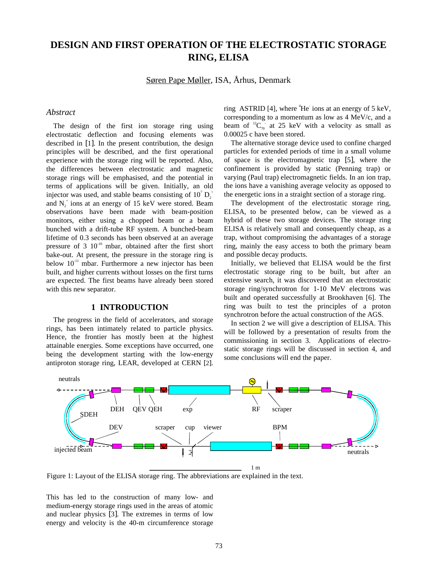# **DESIGN AND FIRST OPERATION OF THE ELECTROSTATIC STORAGE RING, ELISA**

Søren Pape Møller, ISA, Århus, Denmark

#### *Abstract*

The design of the first ion storage ring using electrostatic deflection and focusing elements was described in [1]. In the present contribution, the design principles will be described, and the first operational experience with the storage ring will be reported. Also, the differences between electrostatic and magnetic storage rings will be emphasised, and the potential in terms of applications will be given. Initially, an old injector was used, and stable beams consisting of  $10^7 \text{ D}_2^+$ and  $N_2^+$  ions at an energy of 15 keV were stored. Beam observations have been made with beam-position monitors, either using a chopped beam or a beam bunched with a drift-tube RF system. A bunched-beam lifetime of 0.3 seconds has been observed at an average pressure of  $3 \times 10^{-10}$  mbar, obtained after the first short bake-out. At present, the pressure in the storage ring is below  $10^{-11}$  mbar. Furthermore a new injector has been built, and higher currents without losses on the first turns are expected. The first beams have already been stored with this new separator.

# **1 INTRODUCTION**

The progress in the field of accelerators, and storage rings, has been intimately related to particle physics. Hence, the frontier has mostly been at the highest attainable energies. Some exceptions have occurred, one being the development starting with the low-energy antiproton storage ring, LEAR, developed at CERN [2].

ring ASTRID [4], where  ${}^{4}$ He ions at an energy of 5 keV, corresponding to a momentum as low as 4 MeV/c, and a beam of  ${}^{12}C_{70}$  at 25 keV with a velocity as small as 0.00025 c have been stored.

The alternative storage device used to confine charged particles for extended periods of time in a small volume of space is the electromagnetic trap [5], where the confinement is provided by static (Penning trap) or varying (Paul trap) electromagnetic fields. In an ion trap, the ions have a vanishing average velocity as opposed to the energetic ions in a straight section of a storage ring.

The development of the electrostatic storage ring, ELISA, to be presented below, can be viewed as a hybrid of these two storage devices. The storage ring ELISA is relatively small and consequently cheap, as a trap, without compromising the advantages of a storage ring, mainly the easy access to both the primary beam and possible decay products.

Initially, we believed that ELISA would be the first electrostatic storage ring to be built, but after an extensive search, it was discovered that an electrostatic storage ring/synchrotron for 1-10 MeV electrons was built and operated successfully at Brookhaven [6]. The ring was built to test the principles of a proton synchrotron before the actual construction of the AGS.

In section 2 we will give a description of ELISA. This will be followed by a presentation of results from the commissioning in section 3. Applications of electrostatic storage rings will be discussed in section 4, and some conclusions will end the paper.



Figure 1: Layout of the ELISA storage ring. The abbreviations are explained in the text.

This has led to the construction of many low- and medium-energy storage rings used in the areas of atomic and nuclear physics [3]. The extremes in terms of low energy and velocity is the 40-m circumference storage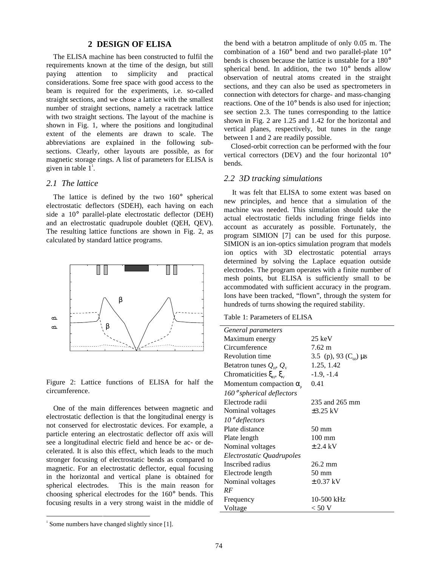# **2 DESIGN OF ELISA**

The ELISA machine has been constructed to fulfil the requirements known at the time of the design, but still paying attention to simplicity and practical considerations. Some free space with good access to the beam is required for the experiments, i.e. so-called straight sections, and we chose a lattice with the smallest number of straight sections, namely a racetrack lattice with two straight sections. The layout of the machine is shown in Fig. 1, where the positions and longitudinal extent of the elements are drawn to scale. The abbreviations are explained in the following subsections. Clearly, other layouts are possible, as for magnetic storage rings. A list of parameters for ELISA is given in table  $1^{\text{!}}$ .

#### *2.1 The lattice*

The lattice is defined by the two 160° spherical electrostatic deflectors (SDEH), each having on each side a 10° parallel-plate electrostatic deflector (DEH) and an electrostatic quadrupole doublet (QEH, QEV). The resulting lattice functions are shown in Fig. 2, as calculated by standard lattice programs.



Figure 2: Lattice functions of ELISA for half the circumference.

One of the main differences between magnetic and electrostatic deflection is that the longitudinal energy is not conserved for electrostatic devices. For example, a particle entering an electrostatic deflector off axis will see a longitudinal electric field and hence be ac- or decelerated. It is also this effect, which leads to the much stronger focusing of electrostatic bends as compared to magnetic. For an electrostatic deflector, equal focusing in the horizontal and vertical plane is obtained for spherical electrodes. This is the main reason for choosing spherical electrodes for the 160° bends. This focusing results in a very strong waist in the middle of the bend with a betatron amplitude of only 0.05 m. The combination of a 160° bend and two parallel-plate 10° bends is chosen because the lattice is unstable for a 180° spherical bend. In addition, the two 10° bends allow observation of neutral atoms created in the straight sections, and they can also be used as spectrometers in connection with detectors for charge- and mass-changing reactions. One of the 10° bends is also used for injection; see section 2.3. The tunes corresponding to the lattice shown in Fig. 2 are 1.25 and 1.42 for the horizontal and vertical planes, respectively, but tunes in the range between 1 and 2 are readily possible.

Closed-orbit correction can be performed with the four vertical correctors (DEV) and the four horizontal 10° bends.

#### *2.2 3D tracking simulations*

 It was felt that ELISA to some extent was based on new principles, and hence that a simulation of the machine was needed. This simulation should take the actual electrostatic fields including fringe fields into account as accurately as possible. Fortunately, the program SIMION [7] can be used for this purpose. SIMION is an ion-optics simulation program that models ion optics with 3D electrostatic potential arrays determined by solving the Laplace equation outside electrodes. The program operates with a finite number of mesh points, but ELISA is sufficiently small to be accommodated with sufficient accuracy in the program. Ions have been tracked, "flown", through the system for hundreds of turns showing the required stability.

Table 1: Parameters of ELISA

| General parameters                             |                                  |
|------------------------------------------------|----------------------------------|
| Maximum energy                                 | $25 \text{ keV}$                 |
| Circumference                                  | $7.62 \text{ m}$                 |
| Revolution time                                | 3.5 (p), 93 ( $C_{60}$ ) $\mu s$ |
| Betatron tunes $Q_{\text{H}}$ , $Q_{\text{V}}$ | 1.25, 1.42                       |
| Chromaticities $\xi_{\mu}$ , $\xi_{\nu}$       | $-1.9, -1.4$                     |
| Momentum compaction $\alpha_{\rm s}$           | 0.41                             |
| $160°$ spherical deflectors                    |                                  |
| Electrode radii                                | 235 and 265 mm                   |
| Nominal voltages                               | $\pm 3.25$ kV                    |
| $10^{\circ}$ deflectors                        |                                  |
| Plate distance                                 | 50 mm                            |
| Plate length                                   | $100 \text{ mm}$                 |
| Nominal voltages                               | $\pm$ 2.4 kV                     |
| Electrostatic Quadrupoles                      |                                  |
| Inscribed radius                               | 26.2 mm                          |
| Electrode length                               | $50 \text{ mm}$                  |
| Nominal voltages                               | $\pm$ 0.37 kV                    |
| RF                                             |                                  |
| Frequency                                      | 10-500 kHz                       |
| Voltage                                        | $<$ 50 V                         |
|                                                |                                  |

<sup>|&</sup>lt;br>|<br>|  $\frac{1}{1}$  Some numbers have changed slightly since [1].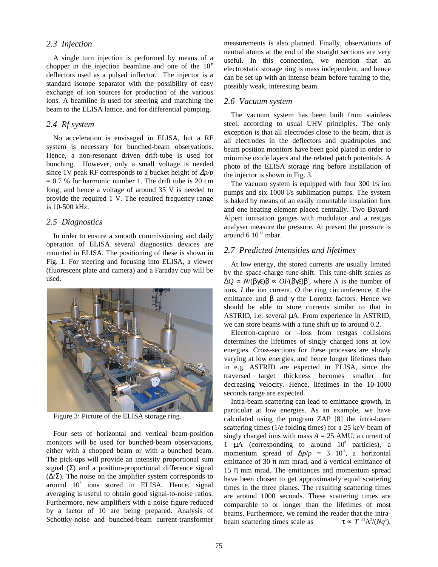#### *2.3 Injection*

A single turn injection is performed by means of a chopper in the injection beamline and one of the 10° deflectors used as a pulsed inflector. The injector is a standard isotope separator with the possibility of easy exchange of ion sources for production of the various ions. A beamline is used for steering and matching the beam to the ELISA lattice, and for differential pumping.

#### *2.4 Rf system*

No acceleration is envisaged in ELISA, but a RF system is necessary for bunched-beam observations. Hence, a non-resonant driven drift-tube is used for bunching. However, only a small voltage is needed since 1V peak RF corresponds to a bucket height of ∆*p/p*  $= 0.7$  % for harmonic number 1. The drift tube is 20 cm long, and hence a voltage of around 35 V is needed to provide the required 1 V. The required frequency range is 10-500 kHz.

#### *2.5 Diagnostics*

In order to ensure a smooth commissioning and daily operation of ELISA several diagnostics devices are mounted in ELISA. The positioning of these is shown in Fig. 1. For steering and focusing into ELISA, a viewer (fluorescent plate and camera) and a Faraday cup will be used.



Figure 3: Picture of the ELISA storage ring.

Four sets of horizontal and vertical beam-position monitors will be used for bunched-beam observations, either with a chopped beam or with a bunched beam. The pick-ups will provide an intensity proportional sum signal  $(\Sigma)$  and a position-proportional difference signal (∆/Σ). The noise on the amplifier system corresponds to around  $10^7$  ions stored in ELISA. Hence, signal averaging is useful to obtain good signal-to-noise ratios. Furthermore, new amplifiers with a noise figure reduced by a factor of 10 are being prepared. Analysis of Schottky-noise and bunched-beam current-transformer measurements is also planned. Finally, observations of neutral atoms at the end of the straight sections are very useful. In this connection, we mention that an electrostatic storage ring is mass independent, and hence can be set up with an intense beam before turning to the, possibly weak, interesting beam.

#### *2.6 Vacuum system*

The vacuum system has been built from stainless steel, according to usual UHV principles. The only exception is that all electrodes close to the beam, that is all electrodes in the deflectors and quadrupoles and beam position monitors have been gold plated in order to minimise oxide layers and the related patch potentials. A photo of the ELISA storage ring before installation of the injector is shown in Fig. 3.

The vacuum system is equipped with four 300 l/s ion pumps and six 1000 l/s sublimation pumps. The system is baked by means of an easily mountable insulation box and one heating element placed centrally. Two Bayard-Alpert ionisation gauges with modulator and a restgas analyser measure the pressure. At present the pressure is around 6  $10^{-12}$  mbar.

# *2.7 Predicted intensities and lifetimes*

At low energy, the stored currents are usually limited by the space-charge tune-shift. This tune-shift scales as  $\Delta Q \propto N/(\beta \gamma \epsilon) \beta \propto OI/(\beta \gamma \epsilon) \beta^2$ , where *N* is the number of ions, *I* the ion current, *O* the ring circumference, ε the emittance and  $\beta$  and  $\gamma$  the Lorentz factors. Hence we should be able to store currents similar to that in ASTRID, i.e. several µA. From experience in ASTRID, we can store beams with a tune shift up to around 0.2.

Electron-capture or –loss from restgas collisions determines the lifetimes of singly charged ions at low energies. Cross-sections for these processes are slowly varying at low energies, and hence longer lifetimes than in e.g. ASTRID are expected in ELISA, since the traversed target thickness becomes smaller for decreasing velocity. Hence, lifetimes in the 10-1000 seconds range are expected.

Intra-beam scattering can lead to emittance growth, in particular at low energies. As an example, we have calculated using the program ZAP [8] the intra-beam scattering times (1/*e* folding times) for a 25 keV beam of singly charged ions with mass  $A = 25$  AMU, a current of 1  $\mu$ A (corresponding to around  $10^8$  particles), a momentum spread of  $\Delta p/p = 3 \cdot 10^{-3}$ , a horizontal emittance of 30  $\pi$  mm mrad, and a vertical emittance of 15  $\pi$  mm mrad. The emittances and momentum spread have been chosen to get approximately equal scattering times in the three planes. The resulting scattering times are around 1000 seconds. These scattering times are comparable to or longer than the lifetimes of most beams. Furthermore, we remind the reader that the intrabeam scattering times scale as  $/(Nq^2),$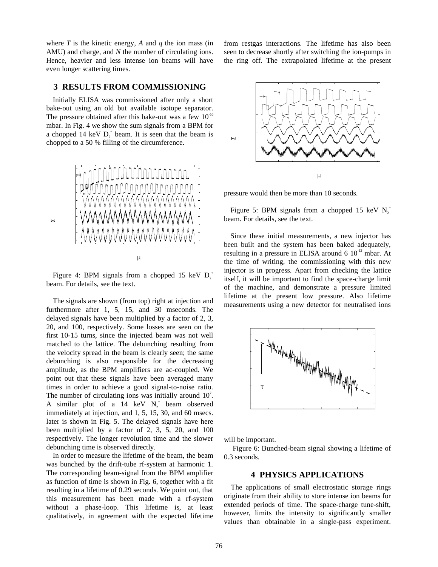where *T* is the kinetic energy, *A* and *q* the ion mass (in AMU) and charge, and *N* the number of circulating ions. Hence, heavier and less intense ion beams will have even longer scattering times.

# **3 RESULTS FROM COMMISSIONING**

Initially ELISA was commissioned after only a short bake-out using an old but available isotope separator. The pressure obtained after this bake-out was a few  $10^{-10}$ mbar. In Fig. 4 we show the sum signals from a BPM for a chopped 14 keV  $D_2^+$  beam. It is seen that the beam is chopped to a 50 % filling of the circumference.



Σ

Figure 4: BPM signals from a chopped 15 keV  $D_2^+$ beam. For details, see the text.

The signals are shown (from top) right at injection and furthermore after 1, 5, 15, and 30 mseconds. The delayed signals have been multiplied by a factor of 2, 3, 20, and 100, respectively. Some losses are seen on the first 10-15 turns, since the injected beam was not well matched to the lattice. The debunching resulting from the velocity spread in the beam is clearly seen; the same debunching is also responsible for the decreasing amplitude, as the BPM amplifiers are ac-coupled. We point out that these signals have been averaged many times in order to achieve a good signal-to-noise ratio. The number of circulating ions was initially around  $10<sup>7</sup>$ . A similar plot of a 14 keV  $N_2^+$  beam observed immediately at injection, and 1, 5, 15, 30, and 60 msecs. later is shown in Fig. 5. The delayed signals have here been multiplied by a factor of 2, 3, 5, 20, and 100 respectively. The longer revolution time and the slower debunching time is observed directly.

In order to measure the lifetime of the beam, the beam was bunched by the drift-tube rf-system at harmonic 1. The corresponding beam-signal from the BPM amplifier as function of time is shown in Fig. 6, together with a fit resulting in a lifetime of 0.29 seconds. We point out, that this measurement has been made with a rf-system without a phase-loop. This lifetime is, at least qualitatively, in agreement with the expected lifetime

from restgas interactions. The lifetime has also been seen to decrease shortly after switching the ion-pumps in the ring off. The extrapolated lifetime at the present



pressure would then be more than 10 seconds.

Figure 5: BPM signals from a chopped 15 keV  $N_2^+$ beam. For details, see the text.

Since these initial measurements, a new injector has been built and the system has been baked adequately, resulting in a pressure in ELISA around  $6 \times 10^{-12}$  mbar. At the time of writing, the commissioning with this new injector is in progress. Apart from checking the lattice itself, it will be important to find the space-charge limit of the machine, and demonstrate a pressure limited lifetime at the present low pressure. Also lifetime measurements using a new detector for neutralised ions



will be important.

 Figure 6: Bunched-beam signal showing a lifetime of 0.3 seconds.

# **4 PHYSICS APPLICATIONS**

The applications of small electrostatic storage rings originate from their ability to store intense ion beams for extended periods of time. The space-charge tune-shift, however, limits the intensity to significantly smaller values than obtainable in a single-pass experiment.